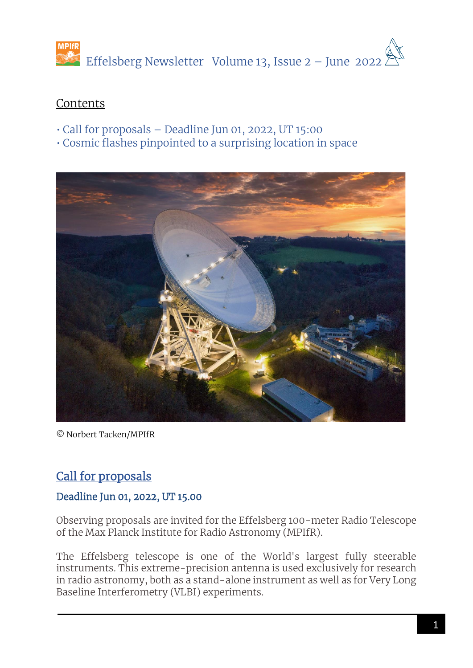

# Contents

- Call for proposals Deadline Jun 01, 2022, UT 15:00
- Cosmic flashes pinpointed to a surprising location in space



© Norbert Tacken/MPIfR

# Call for proposals

# Deadline Jun 01, 2022, UT 15.00

Observing proposals are invited for the Effelsberg 100-meter Radio Telescope of the Max Planck Institute for Radio Astronomy (MPIfR).

The Effelsberg telescope is one of the World's largest fully steerable instruments. This extreme-precision antenna is used exclusively for research in radio astronomy, both as a stand-alone instrument as well as for Very Long Baseline Interferometry (VLBI) experiments.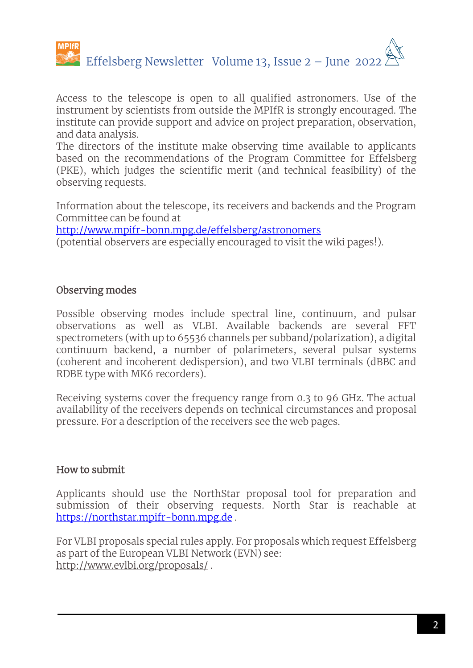

Access to the telescope is open to all qualified astronomers. Use of the instrument by scientists from outside the MPIfR is strongly encouraged. The institute can provide support and advice on project preparation, observation, and data analysis.

The directors of the institute make observing time available to applicants based on the recommendations of the Program Committee for Effelsberg (PKE), which judges the scientific merit (and technical feasibility) of the observing requests.

Information about the telescope, its receivers and backends and the Program Committee can be found at

<http://www.mpifr-bonn.mpg.de/effelsberg/astronomers>

(potential observers are especially encouraged to visit the wiki pages!).

## Observing modes

Possible observing modes include spectral line, continuum, and pulsar observations as well as VLBI. Available backends are several FFT spectrometers (with up to 65536 channels per subband/polarization), a digital continuum backend, a number of polarimeters, several pulsar systems (coherent and incoherent dedispersion), and two VLBI terminals (dBBC and RDBE type with MK6 recorders).

Receiving systems cover the frequency range from 0.3 to 96 GHz. The actual availability of the receivers depends on technical circumstances and proposal pressure. For a description of the receivers see the web pages.

# How to submit

Applicants should use the NorthStar proposal tool for preparation and submission of their observing requests. North Star is reachable at [https://northstar.mpifr-bonn.mpg.de](https://northstar.mpifr-bonn.mpg.de/) .

For VLBI proposals special rules apply. For proposals which request Effelsberg as part of the European VLBI Network (EVN) see: http://www.evlbi.org/proposals/ .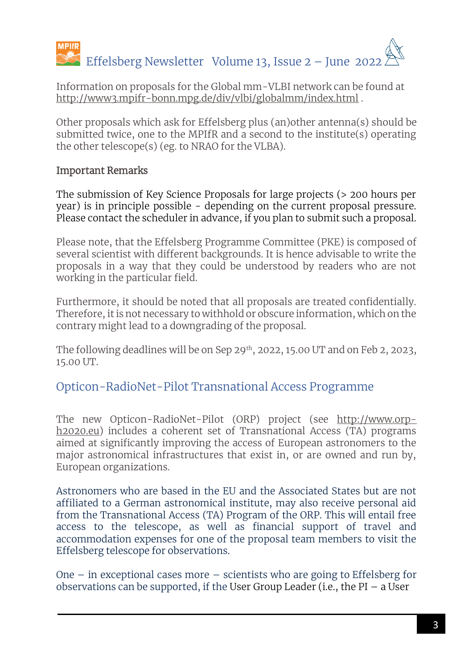

Information on proposals for the Global mm-VLBI network can be found at [http://www3.mpifr-bonn.mpg.de/div/vlbi/globalmm/index.html](http://www.mpifr-bonn.mpg.de/div/vlbi/globalmm/index.html) .

Other proposals which ask for Effelsberg plus (an)other antenna(s) should be submitted twice, one to the MPIfR and a second to the institute(s) operating the other telescope(s) (eg. to NRAO for the VLBA).

### Important Remarks

The submission of Key Science Proposals for large projects (> 200 hours per year) is in principle possible - depending on the current proposal pressure. Please contact the scheduler in advance, if you plan to submit such a proposal.

Please note, that the Effelsberg Programme Committee (PKE) is composed of several scientist with different backgrounds. It is hence advisable to write the proposals in a way that they could be understood by readers who are not working in the particular field.

Furthermore, it should be noted that all proposals are treated confidentially. Therefore, it is not necessary to withhold or obscure information, which on the contrary might lead to a downgrading of the proposal.

The following deadlines will be on Sep 29<sup>th</sup>, 2022, 15.00 UT and on Feb 2, 2023, 15.00 UT.

# Opticon-RadioNet-Pilot Transnational Access Programme

The new Opticon-RadioNet-Pilot (ORP) project (see http://www.orph2020.eu) includes a coherent set of Transnational Access (TA) programs aimed at significantly improving the access of European astronomers to the major astronomical infrastructures that exist in, or are owned and run by, European organizations.

Astronomers who are based in the EU and the Associated States but are not affiliated to a German astronomical institute, may also receive personal aid from the Transnational Access (TA) Program of the ORP. This will entail free access to the telescope, as well as financial support of travel and accommodation expenses for one of the proposal team members to visit the Effelsberg telescope for observations.

One – in exceptional cases more – scientists who are going to Effelsberg for observations can be supported, if the User Group Leader (i.e., the PI  $-$  a User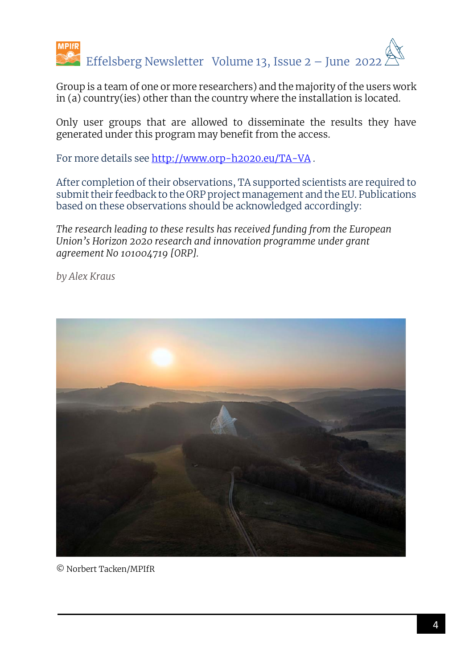

Group is a team of one or more researchers) and the majority of the users work in (a) country(ies) other than the country where the installation is located.

Only user groups that are allowed to disseminate the results they have generated under this program may benefit from the access.

For more details see<http://www.orp-h2020.eu/TA-VA> .

After completion of their observations, TA supported scientists are required to submit their feedback to the ORP project management and the EU. Publications based on these observations should be acknowledged accordingly:

*The research leading to these results has received funding from the European Union's Horizon 2020 research and innovation programme under grant agreement No 101004719 [ORP].* 

*by Alex Kraus*



© Norbert Tacken/MPIfR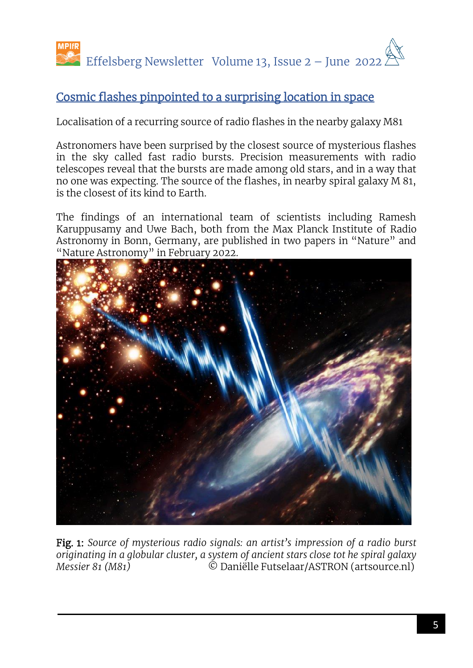

# Cosmic flashes pinpointed to a surprising location in space

Localisation of a recurring source of radio flashes in the nearby galaxy M81

Astronomers have been surprised by the closest source of mysterious flashes in the sky called fast radio bursts. Precision measurements with radio telescopes reveal that the bursts are made among old stars, and in a way that no one was expecting. The source of the flashes, in nearby spiral galaxy M 81, is the closest of its kind to Earth.

The findings of an international team of scientists including Ramesh Karuppusamy and Uwe Bach, both from the Max Planck Institute of Radio Astronomy in Bonn, Germany, are published in two papers in "Nature" and "Nature Astronomy" in February 2022.



Fig. 1: *Source of mysterious radio signals: an artist's impression of a radio burst originating in a globular cluster, a system of ancient stars close tot he spiral galaxy Messier 81 (M81)* © Daniëlle Futselaar/ASTRON (artsource.nl)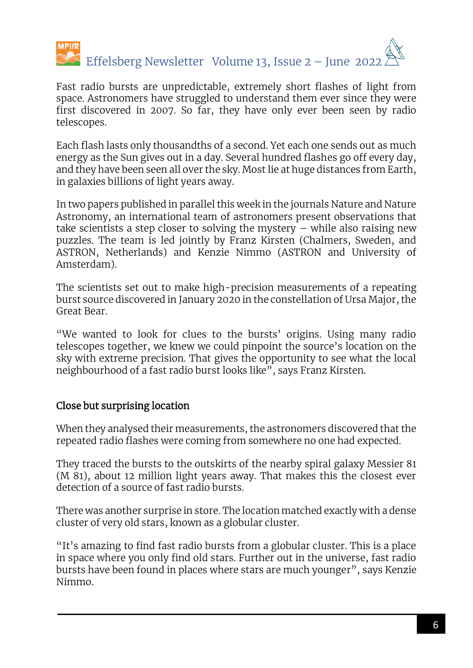

Fast radio bursts are unpredictable, extremely short flashes of light from space. Astronomers have struggled to understand them ever since they were first discovered in 2007. So far, they have only ever been seen by radio telescopes.

Each flash lasts only thousandths of a second. Yet each one sends out as much energy as the Sun gives out in a day. Several hundred flashes go off every day, and they have been seen all over the sky. Most lie at huge distances from Earth, in galaxies billions of light years away.

In two papers published in parallel this week in the journals Nature and Nature Astronomy, an international team of astronomers present observations that take scientists a step closer to solving the mystery  $-$  while also raising new puzzles. The team is led jointly by Franz Kirsten (Chalmers, Sweden, and ASTRON, Netherlands) and Kenzie Nimmo (ASTRON and University of Amsterdam).

The scientists set out to make high-precision measurements of a repeating burst source discovered in January 2020 in the constellation of Ursa Major, the Great Bear.

"We wanted to look for clues to the bursts' origins. Using many radio telescopes together, we knew we could pinpoint the source's location on the sky with extreme precision. That gives the opportunity to see what the local neighbourhood of a fast radio burst looks like", says Franz Kirsten.

# Close but surprising location

When they analysed their measurements, the astronomers discovered that the repeated radio flashes were coming from somewhere no one had expected.

They traced the bursts to the outskirts of the nearby spiral galaxy Messier 81 (M 81), about 12 million light years away. That makes this the closest ever detection of a source of fast radio bursts.

There was another surprise in store. The location matched exactly with a dense cluster of very old stars, known as a globular cluster.

"It's amazing to find fast radio bursts from a globular cluster. This is a place in space where you only find old stars. Further out in the universe, fast radio bursts have been found in places where stars are much younger", says Kenzie Nimmo.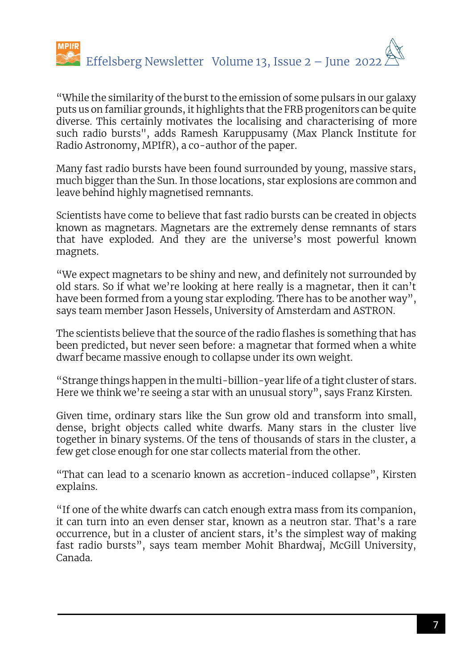

"While the similarity of the burst to the emission of some pulsars in our galaxy puts us on familiar grounds, it highlights that the FRB progenitors can be quite diverse. This certainly motivates the localising and characterising of more such radio bursts", adds Ramesh Karuppusamy (Max Planck Institute for Radio Astronomy, MPIfR), a co-author of the paper.

Many fast radio bursts have been found surrounded by young, massive stars, much bigger than the Sun. In those locations, star explosions are common and leave behind highly magnetised remnants.

Scientists have come to believe that fast radio bursts can be created in objects known as magnetars. Magnetars are the extremely dense remnants of stars that have exploded. And they are the universe's most powerful known magnets.

"We expect magnetars to be shiny and new, and definitely not surrounded by old stars. So if what we're looking at here really is a magnetar, then it can't have been formed from a young star exploding. There has to be another way", says team member Jason Hessels, University of Amsterdam and ASTRON.

The scientists believe that the source of the radio flashes is something that has been predicted, but never seen before: a magnetar that formed when a white dwarf became massive enough to collapse under its own weight.

"Strange things happen in the multi-billion-year life of a tight cluster of stars. Here we think we're seeing a star with an unusual story", says Franz Kirsten.

Given time, ordinary stars like the Sun grow old and transform into small, dense, bright objects called white dwarfs. Many stars in the cluster live together in binary systems. Of the tens of thousands of stars in the cluster, a few get close enough for one star collects material from the other.

"That can lead to a scenario known as accretion-induced collapse", Kirsten explains.

"If one of the white dwarfs can catch enough extra mass from its companion, it can turn into an even denser star, known as a neutron star. That's a rare occurrence, but in a cluster of ancient stars, it's the simplest way of making fast radio bursts", says team member Mohit Bhardwaj, McGill University, Canada.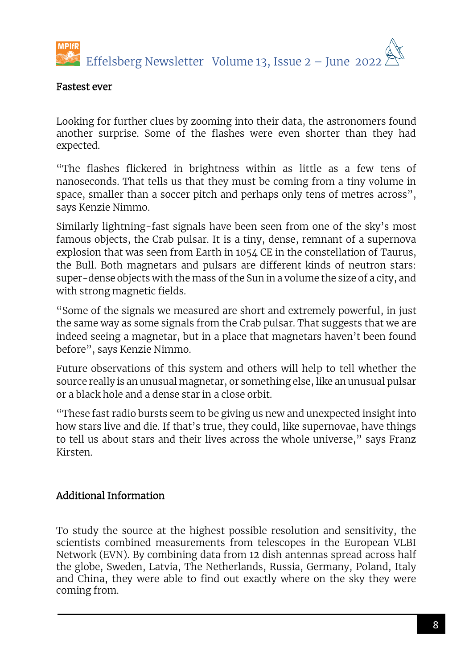

#### Fastest ever

Looking for further clues by zooming into their data, the astronomers found another surprise. Some of the flashes were even shorter than they had expected.

"The flashes flickered in brightness within as little as a few tens of nanoseconds. That tells us that they must be coming from a tiny volume in space, smaller than a soccer pitch and perhaps only tens of metres across", says Kenzie Nimmo.

Similarly lightning-fast signals have been seen from one of the sky's most famous objects, the Crab pulsar. It is a tiny, dense, remnant of a supernova explosion that was seen from Earth in 1054 CE in the constellation of Taurus, the Bull. Both magnetars and pulsars are different kinds of neutron stars: super-dense objects with the mass of the Sun in a volume the size of a city, and with strong magnetic fields.

"Some of the signals we measured are short and extremely powerful, in just the same way as some signals from the Crab pulsar. That suggests that we are indeed seeing a magnetar, but in a place that magnetars haven't been found before", says Kenzie Nimmo.

Future observations of this system and others will help to tell whether the source really is an unusual magnetar, or something else, like an unusual pulsar or a black hole and a dense star in a close orbit.

"These fast radio bursts seem to be giving us new and unexpected insight into how stars live and die. If that's true, they could, like supernovae, have things to tell us about stars and their lives across the whole universe," says Franz Kirsten.

### Additional Information

To study the source at the highest possible resolution and sensitivity, the scientists combined measurements from telescopes in the European VLBI Network (EVN). By combining data from 12 dish antennas spread across half the globe, Sweden, Latvia, The Netherlands, Russia, Germany, Poland, Italy and China, they were able to find out exactly where on the sky they were coming from.